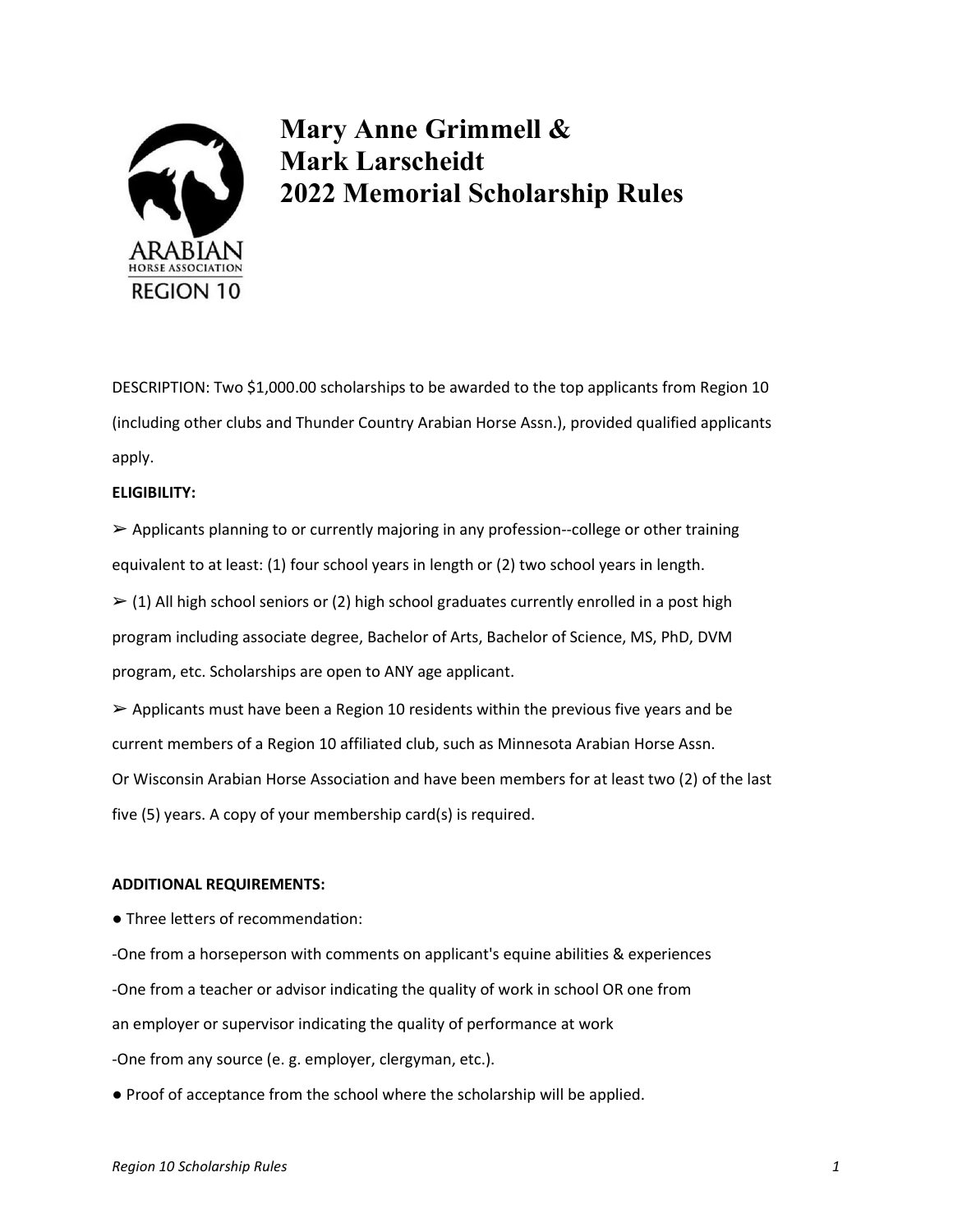

# Mary Anne Grimmell & Mark Larscheidt 2022 Memorial Scholarship Rules

DESCRIPTION: Two \$1,000.00 scholarships to be awarded to the top applicants from Region 10 (including other clubs and Thunder Country Arabian Horse Assn.), provided qualified applicants apply.

## ELIGIBILITY:

➢ Applicants planning to or currently majoring in any profession--college or other training equivalent to at least: (1) four school years in length or (2) two school years in length.

 $\ge$  (1) All high school seniors or (2) high school graduates currently enrolled in a post high program including associate degree, Bachelor of Arts, Bachelor of Science, MS, PhD, DVM program, etc. Scholarships are open to ANY age applicant.

 $\triangleright$  Applicants must have been a Region 10 residents within the previous five years and be current members of a Region 10 affiliated club, such as Minnesota Arabian Horse Assn. Or Wisconsin Arabian Horse Association and have been members for at least two (2) of the last five (5) years. A copy of your membership card(s) is required.

## ADDITIONAL REQUIREMENTS:

• Three letters of recommendation:

-One from a horseperson with comments on applicant's equine abilities & experiences -One from a teacher or advisor indicating the quality of work in school OR one from

an employer or supervisor indicating the quality of performance at work

-One from any source (e. g. employer, clergyman, etc.).

● Proof of acceptance from the school where the scholarship will be applied.